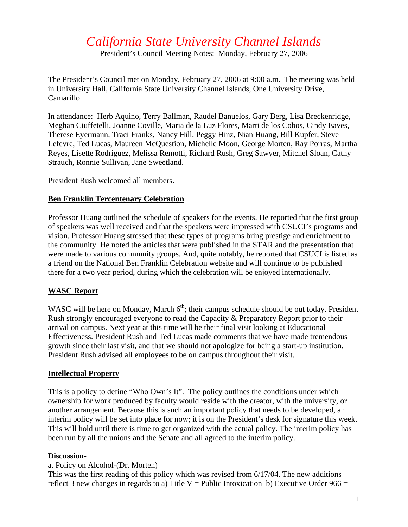# *California State University Channel Islands*

President's Council Meeting Notes: Monday, February 27, 2006

The President's Council met on Monday, February 27, 2006 at 9:00 a.m. The meeting was held in University Hall, California State University Channel Islands, One University Drive, Camarillo.

In attendance: Herb Aquino, Terry Ballman, Raudel Banuelos, Gary Berg, Lisa Breckenridge, Meghan Ciuffetelli, Joanne Coville, Maria de la Luz Flores, Marti de los Cobos, Cindy Eaves, Therese Eyermann, Traci Franks, Nancy Hill, Peggy Hinz, Nian Huang, Bill Kupfer, Steve Lefevre, Ted Lucas, Maureen McQuestion, Michelle Moon, George Morten, Ray Porras, Martha Reyes, Lisette Rodriguez, Melissa Remotti, Richard Rush, Greg Sawyer, Mitchel Sloan, Cathy Strauch, Ronnie Sullivan, Jane Sweetland.

President Rush welcomed all members.

### **Ben Franklin Tercentenary Celebration**

Professor Huang outlined the schedule of speakers for the events. He reported that the first group of speakers was well received and that the speakers were impressed with CSUCI's programs and vision. Professor Huang stressed that these types of programs bring prestige and enrichment to the community. He noted the articles that were published in the STAR and the presentation that were made to various community groups. And, quite notably, he reported that CSUCI is listed as a friend on the National Ben Franklin Celebration website and will continue to be published there for a two year period, during which the celebration will be enjoyed internationally.

## **WASC Report**

WASC will be here on Monday, March  $6<sup>th</sup>$ ; their campus schedule should be out today. President Rush strongly encouraged everyone to read the Capacity & Preparatory Report prior to their arrival on campus. Next year at this time will be their final visit looking at Educational Effectiveness. President Rush and Ted Lucas made comments that we have made tremendous growth since their last visit, and that we should not apologize for being a start-up institution. President Rush advised all employees to be on campus throughout their visit.

#### **Intellectual Property**

This is a policy to define "Who Own's It". The policy outlines the conditions under which ownership for work produced by faculty would reside with the creator, with the university, or another arrangement. Because this is such an important policy that needs to be developed, an interim policy will be set into place for now; it is on the President's desk for signature this week. This will hold until there is time to get organized with the actual policy. The interim policy has been run by all the unions and the Senate and all agreed to the interim policy.

#### **Discussion-**

#### a. Policy on Alcohol-(Dr. Morten)

This was the first reading of this policy which was revised from 6/17/04. The new additions reflect 3 new changes in regards to a) Title V = Public Intoxication b) Executive Order  $966 =$